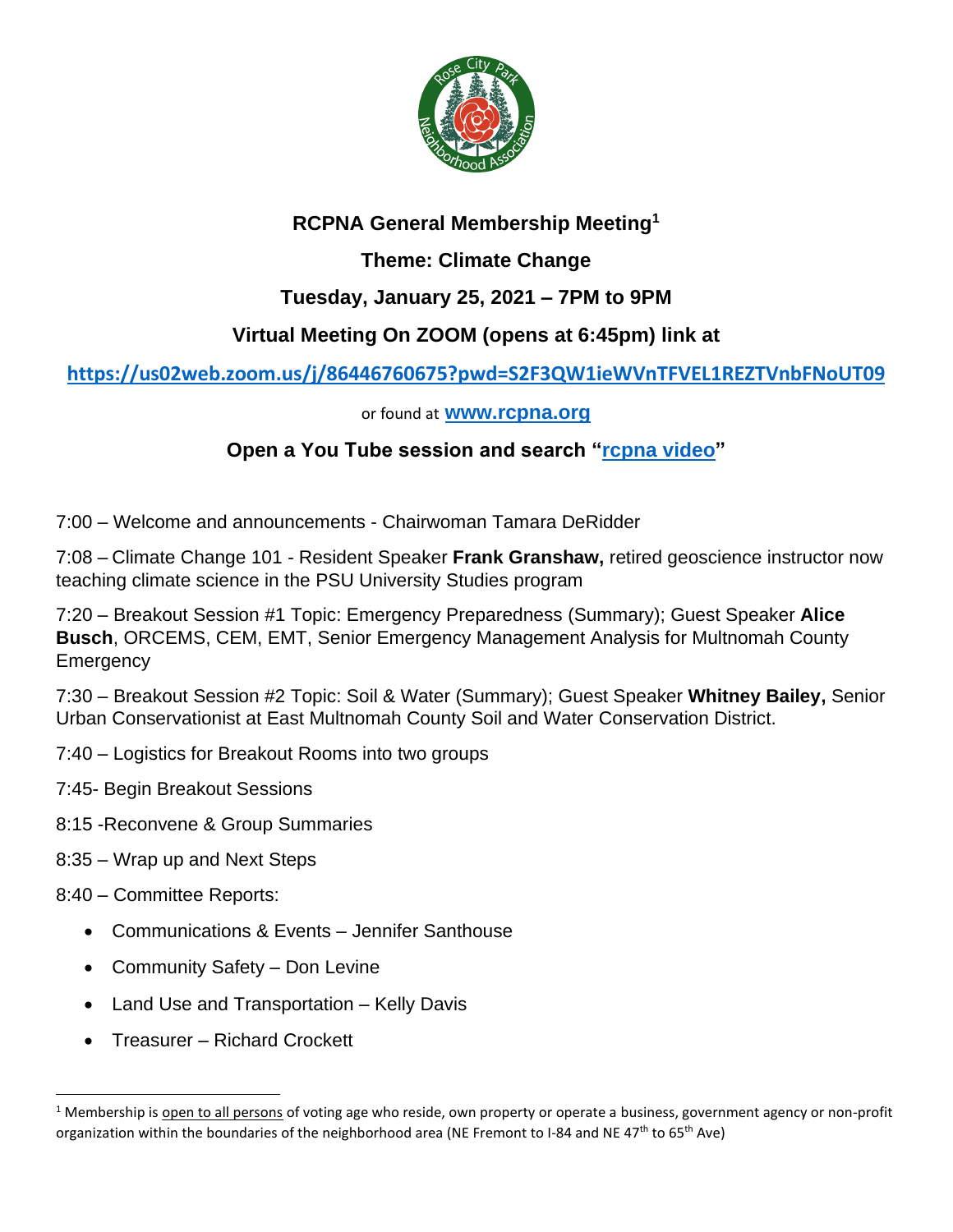

# **RCPNA General Membership Meeting<sup>1</sup>**

**Theme: Climate Change**

# **Tuesday, January 25, 2021 – 7PM to 9PM**

# **Virtual Meeting On ZOOM (opens at 6:45pm) link at**

## **<https://us02web.zoom.us/j/86446760675?pwd=S2F3QW1ieWVnTFVEL1REZTVnbFNoUT09>**

#### or found at **[www.rcpna.org](http://www.rcpna.org/)**

## **Open a You Tube session and search ["rcpna video"](https://www.youtube.com/channel/UCI6mOeBKe8NHEe-xuoK2fsA)**

7:00 – Welcome and announcements - Chairwoman Tamara DeRidder

7:08 – Climate Change 101 - Resident Speaker **Frank Granshaw,** retired geoscience instructor now teaching climate science in the PSU University Studies program

7:20 – Breakout Session #1 Topic: Emergency Preparedness (Summary); Guest Speaker **Alice Busch**, ORCEMS, CEM, EMT, Senior Emergency Management Analysis for Multnomah County **Emergency** 

7:30 – Breakout Session #2 Topic: Soil & Water (Summary); Guest Speaker **Whitney Bailey,** Senior Urban Conservationist at East Multnomah County Soil and Water Conservation District.

- 7:40 Logistics for Breakout Rooms into two groups
- 7:45- Begin Breakout Sessions
- 8:15 -Reconvene & Group Summaries
- 8:35 Wrap up and Next Steps

#### 8:40 – Committee Reports:

- Communications & Events Jennifer Santhouse
- Community Safety Don Levine
- Land Use and Transportation Kelly Davis
- Treasurer Richard Crockett

<sup>&</sup>lt;sup>1</sup> Membership is open to all persons of voting age who reside, own property or operate a business, government agency or non-profit organization within the boundaries of the neighborhood area (NE Fremont to I-84 and NE 47<sup>th</sup> to 65<sup>th</sup> Ave)